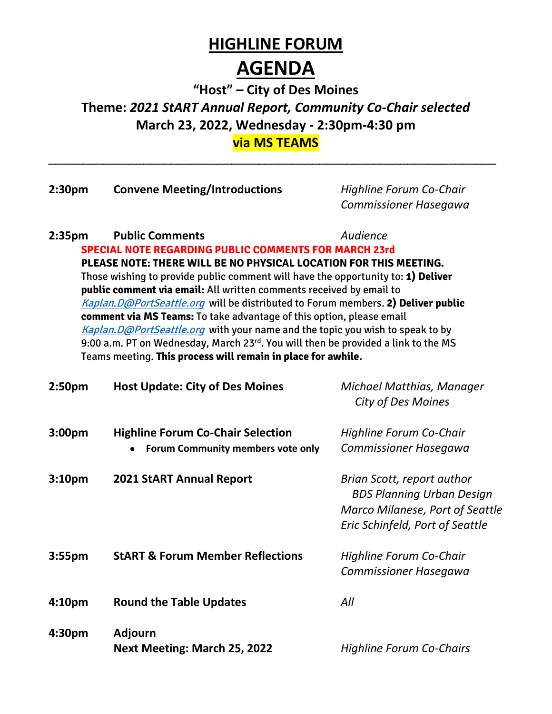## **HIGHLINE FORUM**

## **AGENDA**

**"Host" – City of Des Moines Theme:** *2021 StART Annual Report, Community Co-Chair selected* **March 23, 2022, Wednesday - 2:30pm-4:30 pm via MS TEAMS**

*\_\_\_\_\_\_\_\_\_\_\_\_\_\_\_\_\_\_\_\_\_\_\_\_\_\_\_\_\_\_\_\_\_\_\_\_\_\_\_\_\_\_\_\_\_\_\_\_\_\_\_\_\_\_\_\_\_\_\_\_\_\_\_\_\_\_*

| 2:30 <sub>pm</sub>                                                                                                                                                                                                                                                                                                                                                                                                                                                                                                                                                                                                                                                                                                                                           | <b>Convene Meeting/Introductions</b>                                          | Highline Forum Co-Chair<br><b>Commissioner Hasegawa</b>                                                                              |
|--------------------------------------------------------------------------------------------------------------------------------------------------------------------------------------------------------------------------------------------------------------------------------------------------------------------------------------------------------------------------------------------------------------------------------------------------------------------------------------------------------------------------------------------------------------------------------------------------------------------------------------------------------------------------------------------------------------------------------------------------------------|-------------------------------------------------------------------------------|--------------------------------------------------------------------------------------------------------------------------------------|
| <b>Public Comments</b><br>Audience<br>2:35 <sub>pm</sub><br><b>SPECIAL NOTE REGARDING PUBLIC COMMENTS FOR MARCH 23rd</b><br>PLEASE NOTE: THERE WILL BE NO PHYSICAL LOCATION FOR THIS MEETING.<br>Those wishing to provide public comment will have the opportunity to: 1) Deliver<br>public comment via email: All written comments received by email to<br>Kaplan. D@PortSeattle.org will be distributed to Forum members. 2) Deliver public<br>comment via MS Teams: To take advantage of this option, please email<br>Kaplan. D@PortSeattle.org with your name and the topic you wish to speak to by<br>9:00 a.m. PT on Wednesday, March 23rd. You will then be provided a link to the MS<br>Teams meeting. This process will remain in place for awhile. |                                                                               |                                                                                                                                      |
| 2:50 <sub>pm</sub>                                                                                                                                                                                                                                                                                                                                                                                                                                                                                                                                                                                                                                                                                                                                           | <b>Host Update: City of Des Moines</b>                                        | Michael Matthias, Manager<br>City of Des Moines                                                                                      |
| 3:00 <sub>pm</sub>                                                                                                                                                                                                                                                                                                                                                                                                                                                                                                                                                                                                                                                                                                                                           | <b>Highline Forum Co-Chair Selection</b><br>Forum Community members vote only | Highline Forum Co-Chair<br>Commissioner Hasegawa                                                                                     |
| 3:10 <sub>pm</sub>                                                                                                                                                                                                                                                                                                                                                                                                                                                                                                                                                                                                                                                                                                                                           | <b>2021 StART Annual Report</b>                                               | Brian Scott, report author<br><b>BDS Planning Urban Design</b><br>Marco Milanese, Port of Seattle<br>Eric Schinfeld, Port of Seattle |
| 3:55 <sub>pm</sub>                                                                                                                                                                                                                                                                                                                                                                                                                                                                                                                                                                                                                                                                                                                                           | <b>StART &amp; Forum Member Reflections</b>                                   | Highline Forum Co-Chair<br><b>Commissioner Hasegawa</b>                                                                              |
| 4:10 <sub>pm</sub>                                                                                                                                                                                                                                                                                                                                                                                                                                                                                                                                                                                                                                                                                                                                           | <b>Round the Table Updates</b>                                                | All                                                                                                                                  |
| 4:30pm                                                                                                                                                                                                                                                                                                                                                                                                                                                                                                                                                                                                                                                                                                                                                       | <b>Adjourn</b><br>Next Meeting: March 25, 2022                                | <b>Highline Forum Co-Chairs</b>                                                                                                      |